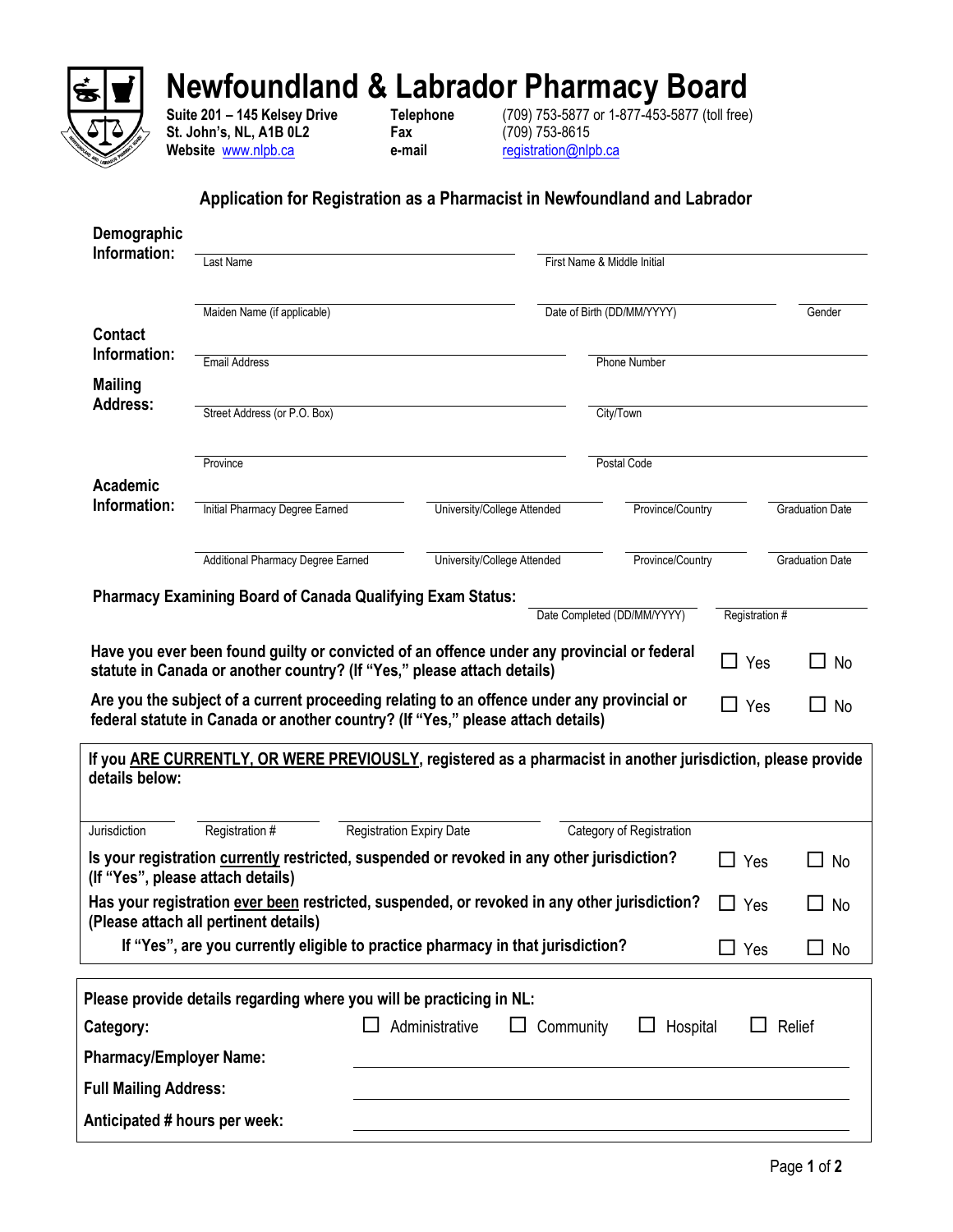

## **Newfoundland & Labrador Pharmacy Board**

**St. John's, NL, A1B 0L2 Fax** (709) 753-8615 **Website** [www.nlpb.ca](http://www.nlpb.ca/) **e-mail** [registration@nlpb.ca](mailto:registration@nlpb.ca)

**Suite 201 – 145 Kelsey Drive Telephone** (709) 753-5877 or 1-877-453-5877 (toll free)

## **Application for Registration as a Pharmacist in Newfoundland and Labrador**

| Information:                                                                                                  |                                                                                                                                       |                                       |                             |                |                        |
|---------------------------------------------------------------------------------------------------------------|---------------------------------------------------------------------------------------------------------------------------------------|---------------------------------------|-----------------------------|----------------|------------------------|
|                                                                                                               | Last Name                                                                                                                             |                                       | First Name & Middle Initial |                |                        |
|                                                                                                               | Maiden Name (if applicable)                                                                                                           |                                       | Date of Birth (DD/MM/YYYY)  |                | Gender                 |
| <b>Contact</b><br>Information:                                                                                |                                                                                                                                       |                                       |                             |                |                        |
| <b>Mailing</b>                                                                                                | <b>Email Address</b>                                                                                                                  |                                       | <b>Phone Number</b>         |                |                        |
| <b>Address:</b>                                                                                               | Street Address (or P.O. Box)                                                                                                          |                                       | City/Town                   |                |                        |
|                                                                                                               | Province                                                                                                                              |                                       | Postal Code                 |                |                        |
| <b>Academic</b>                                                                                               |                                                                                                                                       |                                       |                             |                |                        |
| Information:                                                                                                  | Initial Pharmacy Degree Earned                                                                                                        | University/College Attended           | Province/Country            |                | <b>Graduation Date</b> |
|                                                                                                               | Additional Pharmacy Degree Earned                                                                                                     | University/College Attended           | Province/Country            |                | <b>Graduation Date</b> |
|                                                                                                               | <b>Pharmacy Examining Board of Canada Qualifying Exam Status:</b>                                                                     |                                       | Date Completed (DD/MM/YYYY) | Registration # |                        |
|                                                                                                               | federal statute in Canada or another country? (If "Yes," please attach details)                                                       |                                       |                             |                |                        |
|                                                                                                               | If you ARE CURRENTLY, OR WERE PREVIOUSLY, registered as a pharmacist in another jurisdiction, please provide                          |                                       |                             |                |                        |
|                                                                                                               | Registration #                                                                                                                        | Registration Expiry Date              | Category of Registration    |                |                        |
|                                                                                                               | Is your registration currently restricted, suspended or revoked in any other jurisdiction?<br>(If "Yes", please attach details)       |                                       |                             | Yes            | No                     |
|                                                                                                               | Has your registration ever been restricted, suspended, or revoked in any other jurisdiction?<br>(Please attach all pertinent details) |                                       |                             | Yes<br>ΙI      | No<br>$\blacksquare$   |
|                                                                                                               | If "Yes", are you currently eligible to practice pharmacy in that jurisdiction?                                                       |                                       |                             | $\Box$ Yes     | $\blacksquare$<br>No   |
|                                                                                                               |                                                                                                                                       |                                       |                             |                |                        |
|                                                                                                               | Please provide details regarding where you will be practicing in NL:                                                                  | Administrative<br>Community<br>$\Box$ | Hospital<br>ப               |                | Relief                 |
|                                                                                                               |                                                                                                                                       |                                       |                             |                |                        |
| details below:<br>Jurisdiction<br>Category:<br><b>Pharmacy/Employer Name:</b><br><b>Full Mailing Address:</b> |                                                                                                                                       |                                       |                             |                |                        |